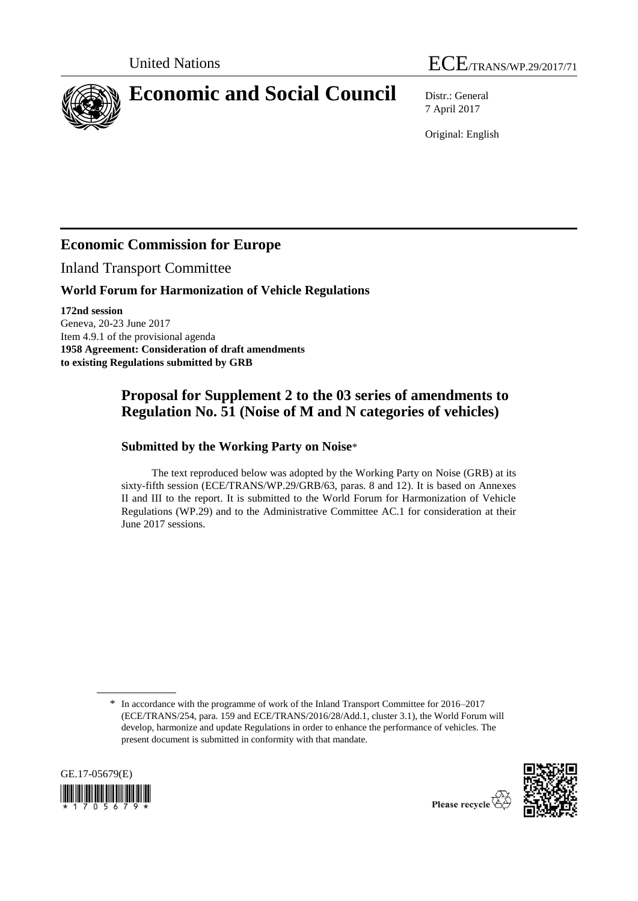



7 April 2017

Original: English

## **Economic Commission for Europe**

Inland Transport Committee

### **World Forum for Harmonization of Vehicle Regulations**

**172nd session** Geneva, 20-23 June 2017 Item 4.9.1 of the provisional agenda **1958 Agreement: Consideration of draft amendments to existing Regulations submitted by GRB**

## **Proposal for Supplement 2 to the 03 series of amendments to Regulation No. 51 (Noise of M and N categories of vehicles)**

### **Submitted by the Working Party on Noise**\*

The text reproduced below was adopted by the Working Party on Noise (GRB) at its sixty-fifth session (ECE/TRANS/WP.29/GRB/63, paras. 8 and 12). It is based on Annexes II and III to the report. It is submitted to the World Forum for Harmonization of Vehicle Regulations (WP.29) and to the Administrative Committee AC.1 for consideration at their June 2017 sessions.

<sup>\*</sup> In accordance with the programme of work of the Inland Transport Committee for 2016–2017 (ECE/TRANS/254, para. 159 and ECE/TRANS/2016/28/Add.1, cluster 3.1), the World Forum will develop, harmonize and update Regulations in order to enhance the performance of vehicles. The present document is submitted in conformity with that mandate.



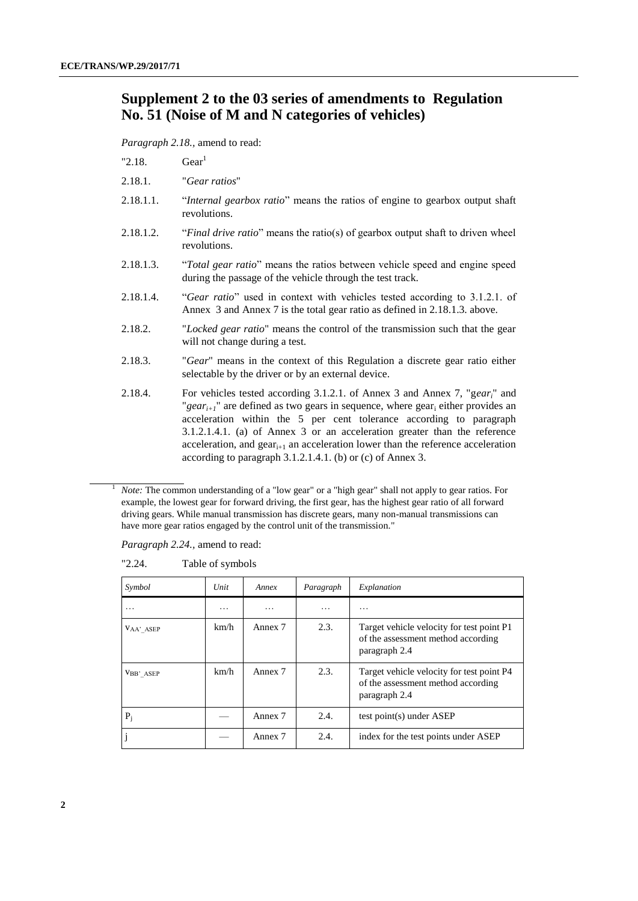### **Supplement 2 to the 03 series of amendments to Regulation No. 51 (Noise of M and N categories of vehicles)**

*Paragraph 2.18.,* amend to read:

"2.18.  $\text{Gear}^1$ 

- 2.18.1. "*Gear ratios*"
- 2.18.1.1. "*Internal gearbox ratio*" means the ratios of engine to gearbox output shaft revolutions.
- 2.18.1.2. "*Final drive ratio*" means the ratio(s) of gearbox output shaft to driven wheel revolutions.
- 2.18.1.3. "*Total gear ratio*" means the ratios between vehicle speed and engine speed during the passage of the vehicle through the test track.
- 2.18.1.4. "*Gear ratio*" used in context with vehicles tested according to 3.1.2.1. of Annex 3 and Annex 7 is the total gear ratio as defined in 2.18.1.3. above.
- 2.18.2. "*Locked gear ratio*" means the control of the transmission such that the gear will not change during a test.
- 2.18.3. "*Gear*" means in the context of this Regulation a discrete gear ratio either selectable by the driver or by an external device.
- 2.18.4. For vehicles tested according 3.1.2.1. of Annex 3 and Annex 7, "g*eari*" and "*gear<sub>i+1</sub>*" are defined as two gears in sequence, where gear<sub>i</sub> either provides an acceleration within the 5 per cent tolerance according to paragraph 3.1.2.1.4.1. (a) of Annex 3 or an acceleration greater than the reference acceleration, and  $gen_{i+1}$  an acceleration lower than the reference acceleration according to paragraph 3.1.2.1.4.1. (b) or (c) of Annex 3.

*Paragraph 2.24.,* amend to read:

"2.24. Table of symbols

| Symbol                 | Unit | Annex   | Paragraph | Explanation                                                                                      |
|------------------------|------|---------|-----------|--------------------------------------------------------------------------------------------------|
| $\ddotsc$              | .    | .       | .         | .                                                                                                |
| V <sub>AA</sub> ' ASEP | km/h | Annex 7 | 2.3.      | Target vehicle velocity for test point P1<br>of the assessment method according<br>paragraph 2.4 |
| VBB' ASEP              | km/h | Annex 7 | 2.3.      | Target vehicle velocity for test point P4<br>of the assessment method according<br>paragraph 2.4 |
| $P_i$                  |      | Annex 7 | 2.4.      | test point(s) under ASEP                                                                         |
|                        |      | Annex 7 | 2.4.      | index for the test points under ASEP                                                             |

*Note:* The common understanding of a "low gear" or a "high gear" shall not apply to gear ratios. For example, the lowest gear for forward driving, the first gear, has the highest gear ratio of all forward driving gears. While manual transmission has discrete gears, many non-manual transmissions can have more gear ratios engaged by the control unit of the transmission."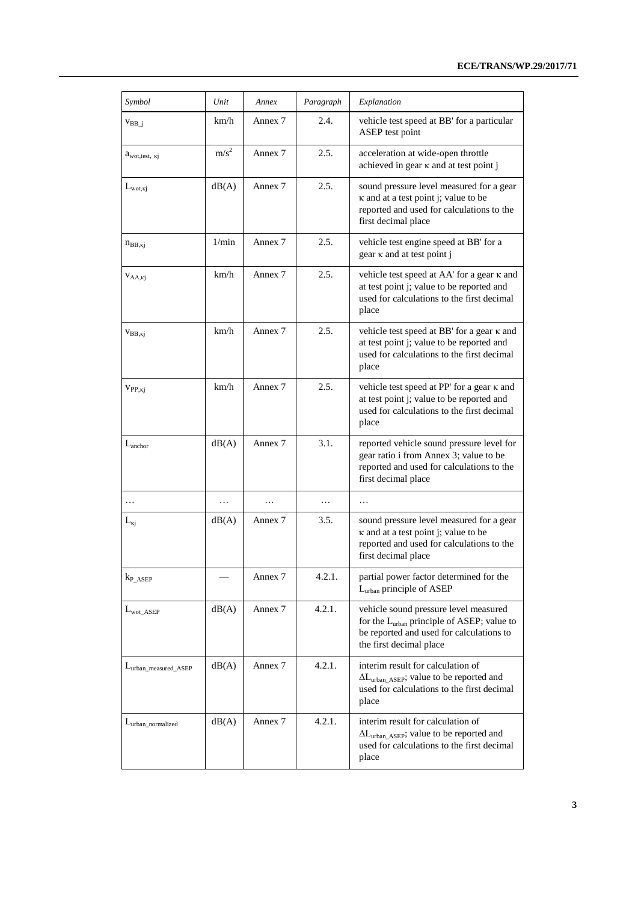| Symbol                             | Unit           | Annex   | Paragraph | Explanation                                                                                                                                                            |
|------------------------------------|----------------|---------|-----------|------------------------------------------------------------------------------------------------------------------------------------------------------------------------|
| $V_{BB}$ <sup><math>i</math></sup> | km/h           | Annex 7 | 2.4.      | vehicle test speed at BB' for a particular<br>ASEP test point                                                                                                          |
| $a_{\text{wot,test, ki}}$          | $m/s^2$        | Annex 7 | 2.5.      | acceleration at wide-open throttle<br>achieved in gear $\kappa$ and at test point j                                                                                    |
| $L_{\text{wot},\kappa j}$          | dB(A)          | Annex 7 | 2.5.      | sound pressure level measured for a gear<br>κ and at a test point j; value to be<br>reported and used for calculations to the<br>first decimal place                   |
| $n_{BB,kj}$                        | $1/\text{min}$ | Annex 7 | 2.5.      | vehicle test engine speed at BB' for a<br>$gen \kappa$ and at test point j                                                                                             |
| $V_{AA,ki}$                        | km/h           | Annex 7 | 2.5.      | vehicle test speed at AA' for a gear $\kappa$ and<br>at test point j; value to be reported and<br>used for calculations to the first decimal<br>place                  |
| $V_{BB, Kj}$                       | km/h           | Annex 7 | 2.5.      | vehicle test speed at BB' for a gear $\kappa$ and<br>at test point j; value to be reported and<br>used for calculations to the first decimal<br>place                  |
| $V_{PP, Kj}$                       | km/h           | Annex 7 | 2.5.      | vehicle test speed at PP' for a gear $\kappa$ and<br>at test point j; value to be reported and<br>used for calculations to the first decimal<br>place                  |
| $L_{\text{anchor}}$                | dB(A)          | Annex 7 | 3.1.      | reported vehicle sound pressure level for<br>gear ratio i from Annex 3; value to be<br>reported and used for calculations to the<br>first decimal place                |
| .                                  | .              | .       | .         | .                                                                                                                                                                      |
| $L_{\kappa j}$                     | dB(A)          | Annex 7 | 3.5.      | sound pressure level measured for a gear<br>κ and at a test point j; value to be<br>reported and used for calculations to the<br>first decimal place                   |
| $k_{P\_ASEP}$                      |                | Annex 7 | 4.2.1.    | partial power factor determined for the<br>L <sub>urban</sub> principle of ASEP                                                                                        |
| $L_{\text{wot ASEP}}$              | dB(A)          | Annex 7 | 4.2.1.    | vehicle sound pressure level measured<br>for the L <sub>urban</sub> principle of ASEP; value to<br>be reported and used for calculations to<br>the first decimal place |
| Lurban_measured_ASEP               | dB(A)          | Annex 7 | 4.2.1.    | interim result for calculation of<br>$\Delta L_{urban\_ASEP}$ ; value to be reported and<br>used for calculations to the first decimal<br>place                        |
| $L_{urban\_normalized}$            | dB(A)          | Annex 7 | 4.2.1.    | interim result for calculation of<br>$\Delta L_{urban\_ASEP}$ ; value to be reported and<br>used for calculations to the first decimal<br>place                        |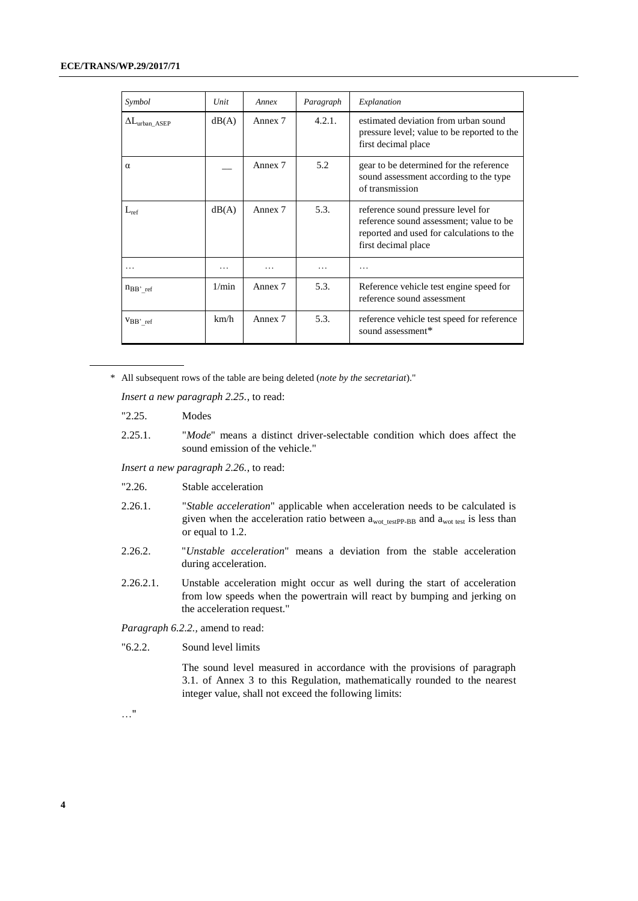| Symbol                       | Unit  | Annex   | Paragraph | Explanation                                                                                                                                       |
|------------------------------|-------|---------|-----------|---------------------------------------------------------------------------------------------------------------------------------------------------|
| $\Delta L_{\rm urban\_ASEP}$ | dB(A) | Annex 7 | 4.2.1.    | estimated deviation from urban sound<br>pressure level; value to be reported to the<br>first decimal place                                        |
| $\alpha$                     |       | Annex 7 | 5.2       | gear to be determined for the reference<br>sound assessment according to the type<br>of transmission                                              |
| $L_{ref}$                    | dB(A) | Annex 7 | 5.3.      | reference sound pressure level for<br>reference sound assessment; value to be<br>reported and used for calculations to the<br>first decimal place |
|                              |       |         |           |                                                                                                                                                   |
| $n_{BB'ref}$                 | 1/min | Annex 7 | 5.3.      | Reference vehicle test engine speed for<br>reference sound assessment                                                                             |
| $VBB'$ ref                   | km/h  | Annex 7 | 5.3.      | reference vehicle test speed for reference<br>sound assessment*                                                                                   |

\* All subsequent rows of the table are being deleted (*note by the secretariat*)."

*Insert a new paragraph 2.25.*, to read:

- "2.25. Modes
- 2.25.1. "*Mode*" means a distinct driver-selectable condition which does affect the sound emission of the vehicle."

*Insert a new paragraph 2.26.*, to read:

- "2.26. Stable acceleration
- 2.26.1. "*Stable acceleration*" applicable when acceleration needs to be calculated is given when the acceleration ratio between  $a_{\text{wot\_testPP-BB}}$  and  $a_{\text{wot test}}$  is less than or equal to 1.2.
- 2.26.2. "*Unstable acceleration*" means a deviation from the stable acceleration during acceleration.
- 2.26.2.1. Unstable acceleration might occur as well during the start of acceleration from low speeds when the powertrain will react by bumping and jerking on the acceleration request."

*Paragraph 6.2.2.,* amend to read:

"6.2.2. Sound level limits

The sound level measured in accordance with the provisions of paragraph 3.1. of Annex 3 to this Regulation, mathematically rounded to the nearest integer value, shall not exceed the following limits:

…"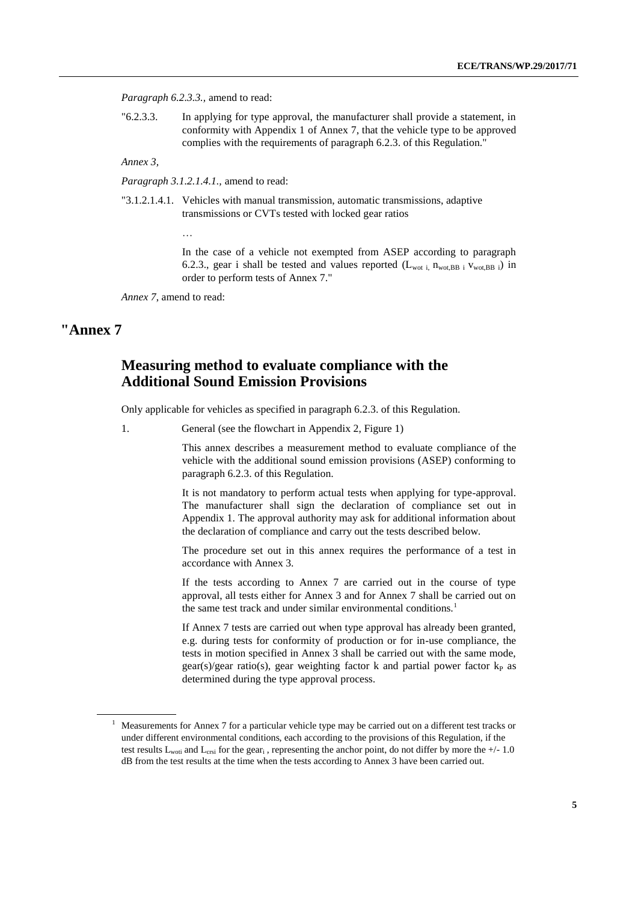*Paragraph 6.2.3.3.,* amend to read:

"6.2.3.3. In applying for type approval, the manufacturer shall provide a statement, in conformity with Appendix 1 of Annex 7, that the vehicle type to be approved complies with the requirements of paragraph 6.2.3. of this Regulation."

*Annex 3,* 

*Paragraph 3.1.2.1.4.1.,* amend to read:

"3.1.2.1.4.1. Vehicles with manual transmission, automatic transmissions, adaptive transmissions or CVTs tested with locked gear ratios

…

In the case of a vehicle not exempted from ASEP according to paragraph 6.2.3., gear i shall be tested and values reported  $(L_{\text{wot i}}, n_{\text{wot,BB i}}, v_{\text{wot,BB i}})$  in order to perform tests of Annex 7."

*Annex 7*, amend to read:

### **"Annex 7**

### **Measuring method to evaluate compliance with the Additional Sound Emission Provisions**

Only applicable for vehicles as specified in paragraph 6.2.3. of this Regulation.

1. General (see the flowchart in Appendix 2, Figure 1)

This annex describes a measurement method to evaluate compliance of the vehicle with the additional sound emission provisions (ASEP) conforming to paragraph 6.2.3. of this Regulation.

It is not mandatory to perform actual tests when applying for type-approval. The manufacturer shall sign the declaration of compliance set out in Appendix 1. The approval authority may ask for additional information about the declaration of compliance and carry out the tests described below.

The procedure set out in this annex requires the performance of a test in accordance with Annex 3.

If the tests according to Annex 7 are carried out in the course of type approval, all tests either for Annex 3 and for Annex 7 shall be carried out on the same test track and under similar environmental conditions.<sup>1</sup>

If Annex 7 tests are carried out when type approval has already been granted, e.g. during tests for conformity of production or for in-use compliance, the tests in motion specified in Annex 3 shall be carried out with the same mode,  $\text{gear}(s)/\text{gear ratio}(s)$ , gear weighting factor k and partial power factor  $k_P$  as determined during the type approval process.

<sup>&</sup>lt;sup>1</sup> Measurements for Annex 7 for a particular vehicle type may be carried out on a different test tracks or under different environmental conditions, each according to the provisions of this Regulation, if the test results  $L_{\text{woti}}$  and  $L_{\text{crsi}}$  for the gear<sub>i</sub>, representing the anchor point, do not differ by more the  $+/$ - 1.0 dB from the test results at the time when the tests according to Annex 3 have been carried out.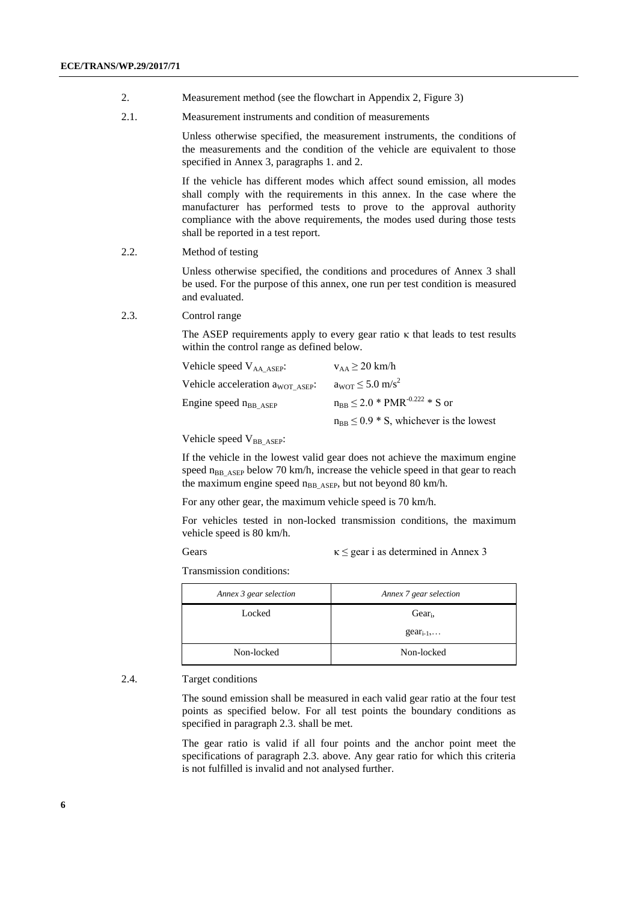- 2. Measurement method (see the flowchart in Appendix 2, Figure 3)
- 2.1. Measurement instruments and condition of measurements

Unless otherwise specified, the measurement instruments, the conditions of the measurements and the condition of the vehicle are equivalent to those specified in Annex 3, paragraphs 1. and 2.

If the vehicle has different modes which affect sound emission, all modes shall comply with the requirements in this annex. In the case where the manufacturer has performed tests to prove to the approval authority compliance with the above requirements, the modes used during those tests shall be reported in a test report.

2.2. Method of testing

Unless otherwise specified, the conditions and procedures of Annex 3 shall be used. For the purpose of this annex, one run per test condition is measured and evaluated.

2.3. Control range

The ASEP requirements apply to every gear ratio κ that leads to test results within the control range as defined below.

| Vehicle speed $V_{AA}$ $_{ASEP}$ :           | $v_{AA} \geq 20$ km/h                                |
|----------------------------------------------|------------------------------------------------------|
| Vehicle acceleration a <sub>WOT ASEP</sub> : | $a_{\text{WOT}} \leq 5.0 \text{ m/s}^2$              |
| Engine speed $n_{BB}$ ASEP                   | $n_{\rm BB} \leq 2.0$ * PMR <sup>-0.222</sup> * S or |
|                                              | $n_{BB} \leq 0.9 * S$ , whichever is the lowest      |

Vehicle speed V<sub>BB</sub> ASEP:

If the vehicle in the lowest valid gear does not achieve the maximum engine speed  $n_{BB|ASEP}$  below 70 km/h, increase the vehicle speed in that gear to reach the maximum engine speed n<sub>BB\_ASEP</sub>, but not beyond 80 km/h.

For any other gear, the maximum vehicle speed is 70 km/h.

For vehicles tested in non-locked transmission conditions, the maximum vehicle speed is 80 km/h.

Gears  $\kappa \leq$  gear i as determined in Annex 3

Transmission conditions:

| Annex 3 gear selection | Annex 7 gear selection |
|------------------------|------------------------|
| Locked                 | $Gear_i$               |
|                        | $gen_{i-1}$            |
| Non-locked             | Non-locked             |

#### 2.4. Target conditions

The sound emission shall be measured in each valid gear ratio at the four test points as specified below. For all test points the boundary conditions as specified in paragraph 2.3. shall be met.

The gear ratio is valid if all four points and the anchor point meet the specifications of paragraph 2.3. above. Any gear ratio for which this criteria is not fulfilled is invalid and not analysed further.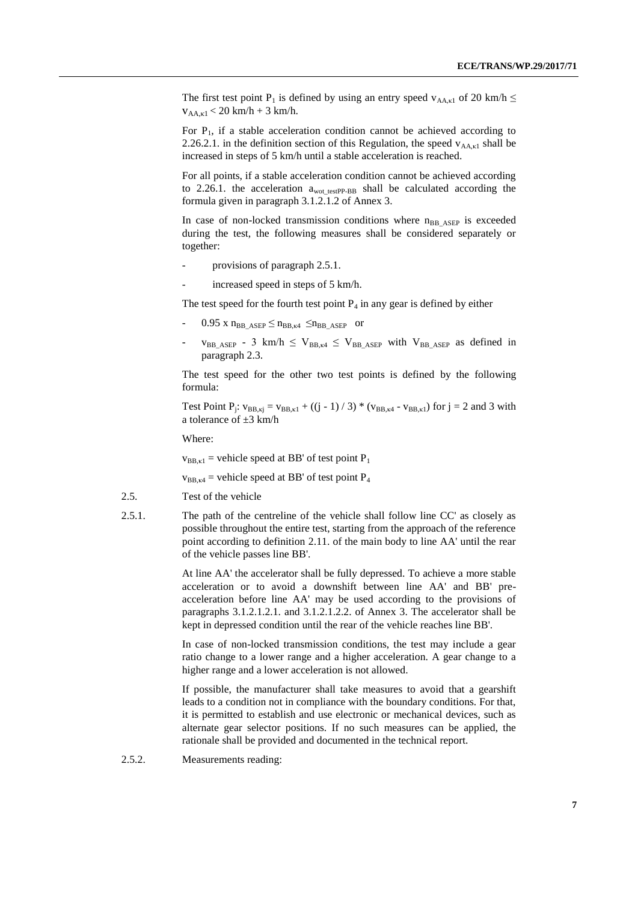The first test point P<sub>1</sub> is defined by using an entry speed  $v_{AA,kl}$  of 20 km/h  $\leq$  $v_{AA,kl}$  < 20 km/h + 3 km/h.

For  $P_1$ , if a stable acceleration condition cannot be achieved according to 2.26.2.1. in the definition section of this Regulation, the speed  $v_{AA,K1}$  shall be increased in steps of 5 km/h until a stable acceleration is reached.

For all points, if a stable acceleration condition cannot be achieved according to 2.26.1. the acceleration  $a_{\text{wot testPP-BB}}$  shall be calculated according the formula given in paragraph 3.1.2.1.2 of Annex 3.

In case of non-locked transmission conditions where  $n_{BB\_ASEP}$  is exceeded during the test, the following measures shall be considered separately or together:

- provisions of paragraph 2.5.1.
- increased speed in steps of 5 km/h.

The test speed for the fourth test point  $P_4$  in any gear is defined by either

- $0.95$  x  $n_{BB|ASEP} \leq n_{BB,k4} \leq n_{BB|ASEP}$  or
- $v_{BB|ASEP}$  3 km/h  $\leq V_{BB,K4} \leq V_{BB|ASEP}$  with  $V_{BB|ASEP}$  as defined in paragraph 2.3.

The test speed for the other two test points is defined by the following formula:

Test Point P<sub>j</sub>:  $v_{BB,kj} = v_{BB,kl} + ((j - 1) / 3) * (v_{BB, k4} - v_{BB, kl})$  for  $j = 2$  and 3 with a tolerance of  $\pm 3$  km/h

Where:

 $v_{BB,kl}$  = vehicle speed at BB' of test point P<sub>1</sub>

 $v_{BB,x4}$  = vehicle speed at BB' of test point P<sub>4</sub>

- 2.5. Test of the vehicle
- 2.5.1. The path of the centreline of the vehicle shall follow line CC' as closely as possible throughout the entire test, starting from the approach of the reference point according to definition 2.11. of the main body to line AA' until the rear of the vehicle passes line BB'.

At line AA' the accelerator shall be fully depressed. To achieve a more stable acceleration or to avoid a downshift between line AA' and BB' preacceleration before line AA' may be used according to the provisions of paragraphs 3.1.2.1.2.1. and 3.1.2.1.2.2. of Annex 3. The accelerator shall be kept in depressed condition until the rear of the vehicle reaches line BB'.

In case of non-locked transmission conditions, the test may include a gear ratio change to a lower range and a higher acceleration. A gear change to a higher range and a lower acceleration is not allowed.

If possible, the manufacturer shall take measures to avoid that a gearshift leads to a condition not in compliance with the boundary conditions. For that, it is permitted to establish and use electronic or mechanical devices, such as alternate gear selector positions. If no such measures can be applied, the rationale shall be provided and documented in the technical report.

2.5.2. Measurements reading: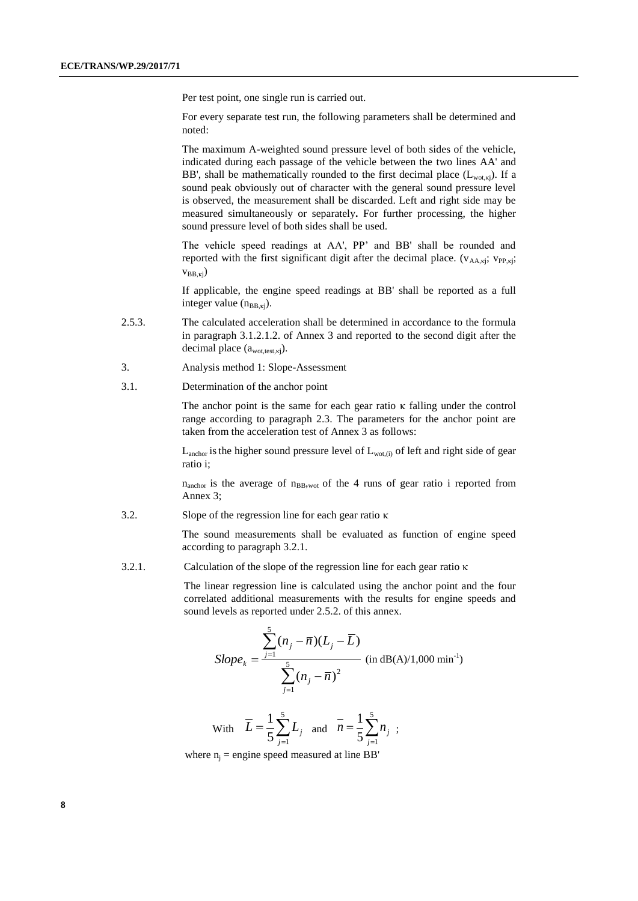Per test point, one single run is carried out.

For every separate test run, the following parameters shall be determined and noted:

The maximum A-weighted sound pressure level of both sides of the vehicle, indicated during each passage of the vehicle between the two lines AA' and BB', shall be mathematically rounded to the first decimal place  $(L_{\text{wot.ki}})$ . If a sound peak obviously out of character with the general sound pressure level is observed, the measurement shall be discarded. Left and right side may be measured simultaneously or separately**.** For further processing, the higher sound pressure level of both sides shall be used.

The vehicle speed readings at AA', PP' and BB' shall be rounded and reported with the first significant digit after the decimal place.  $(v_{AA,kj}; v_{PP,kj};$  $V_{BB,ki}$ )

If applicable, the engine speed readings at BB' shall be reported as a full integer value  $(n_{BB,ki})$ .

- 2.5.3. The calculated acceleration shall be determined in accordance to the formula in paragraph 3.1.2.1.2. of Annex 3 and reported to the second digit after the decimal place  $(a_{\text{wot.test.ki}})$ .
- 3. Analysis method 1: Slope-Assessment
- 3.1. Determination of the anchor point

The anchor point is the same for each gear ratio κ falling under the control range according to paragraph 2.3. The parameters for the anchor point are taken from the acceleration test of Annex 3 as follows:

 $L_{\text{anchor}}$  is the higher sound pressure level of  $L_{\text{wot},(i)}$  of left and right side of gear ratio i;

 $n_{\text{anchor}}$  is the average of  $n_{\text{BB,root}}$  of the 4 runs of gear ratio i reported from Annex 3;

3.2. Slope of the regression line for each gear ratio κ

The sound measurements shall be evaluated as function of engine speed according to paragraph 3.2.1.

3.2.1. Calculation of the slope of the regression line for each gear ratio κ

The linear regression line is calculated using the anchor point and the four correlated additional measurements with the results for engine speeds and sound levels as reported under 2.5.2. of this annex.

$$
Slope_k = \frac{\sum_{j=1}^{5} (n_j - \overline{n})(L_j - \overline{L})}{\sum_{j=1}^{5} (n_j - \overline{n})^2}
$$
 (in dB(A)/1,000 min<sup>-1</sup>)

With 
$$
\overline{L} = \frac{1}{5} \sum_{j=1}^{5} L_j
$$
 and  $\overline{n} = \frac{1}{5} \sum_{j=1}^{5} n_j$ ;

where  $n_i$  = engine speed measured at line BB'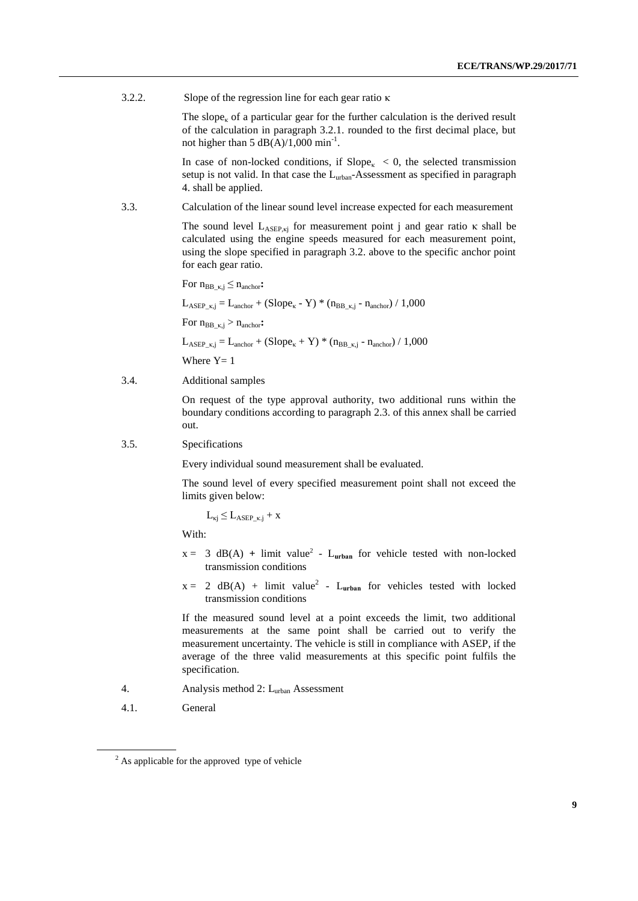3.2.2. Slope of the regression line for each gear ratio κ

The slope<sub> $k$ </sub> of a particular gear for the further calculation is the derived result of the calculation in paragraph 3.2.1. rounded to the first decimal place, but not higher than  $5 \text{ dB}(A)/1,000 \text{ min}^{-1}$ .

In case of non-locked conditions, if  $Slope_{\kappa} < 0$ , the selected transmission setup is not valid. In that case the L<sub>urban</sub>-Assessment as specified in paragraph 4. shall be applied.

3.3. Calculation of the linear sound level increase expected for each measurement

The sound level  $L_{ASEP, kj}$  for measurement point j and gear ratio κ shall be calculated using the engine speeds measured for each measurement point, using the slope specified in paragraph 3.2. above to the specific anchor point for each gear ratio.

For  $n_{BB_{K,j}} \leq n_{anchor}$ : L<sub>ASEP k,j</sub> = L<sub>anchor</sub> + (Slope<sub>k</sub> - Y) \* ( $n_{BB-k,i}$  -  $n_{anchor}$ ) / 1,000 For  $n_{BB_K,i} > n_{anchor}$ : L<sub>ASEP k,j</sub> = L<sub>anchor</sub> + (Slope<sub>k</sub> + Y) \* (n<sub>BB k,j</sub> - n<sub>anchor</sub>) / 1,000 Where  $Y=1$ 

3.4. Additional samples

On request of the type approval authority, two additional runs within the boundary conditions according to paragraph 2.3. of this annex shall be carried out.

3.5. Specifications

Every individual sound measurement shall be evaluated.

The sound level of every specified measurement point shall not exceed the limits given below:

 $L_{\kappa j} \leq L_{ASEP_-\kappa,j} + x$ 

With:

- $x = 3$  dB(A) + limit value<sup>2</sup> L<sub>urban</sub> for vehicle tested with non-locked transmission conditions
- $x = 2$  dB(A) + limit value<sup>2</sup> L<sub>urban</sub> for vehicles tested with locked transmission conditions

If the measured sound level at a point exceeds the limit, two additional measurements at the same point shall be carried out to verify the measurement uncertainty. The vehicle is still in compliance with ASEP, if the average of the three valid measurements at this specific point fulfils the specification.

- 4. Analysis method 2: L<sub>urban</sub> Assessment
- 4.1. General

<sup>&</sup>lt;sup>2</sup> As applicable for the approved type of vehicle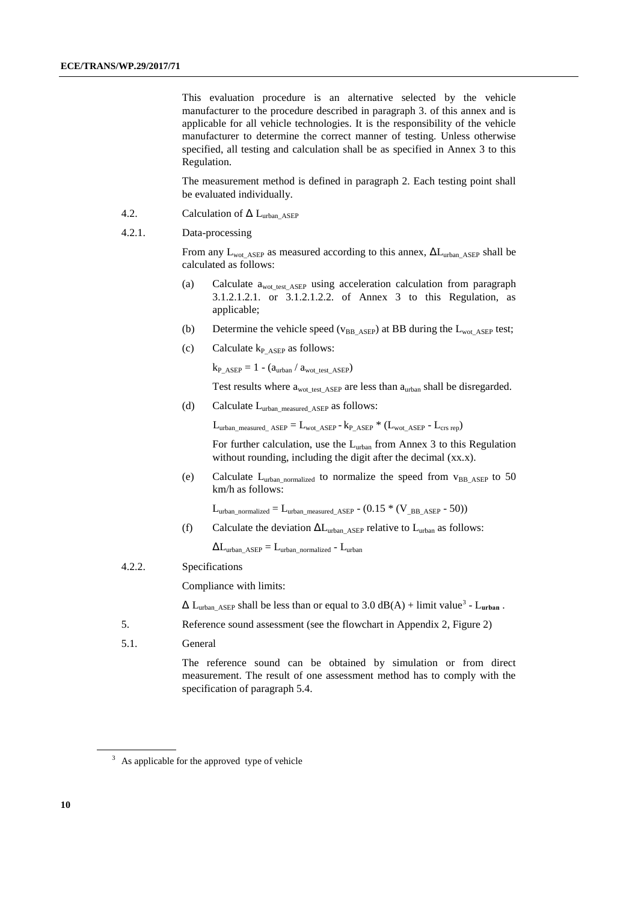This evaluation procedure is an alternative selected by the vehicle manufacturer to the procedure described in paragraph 3. of this annex and is applicable for all vehicle technologies. It is the responsibility of the vehicle manufacturer to determine the correct manner of testing. Unless otherwise specified, all testing and calculation shall be as specified in Annex 3 to this Regulation.

The measurement method is defined in paragraph 2. Each testing point shall be evaluated individually.

- 4.2. Calculation of  $\Delta$  L<sub>urban</sub> ASEP
- 4.2.1. Data-processing

From any  $L_{\text{wot}}$  ASEP as measured according to this annex,  $\Delta L_{\text{urban}}$  ASEP shall be calculated as follows:

- (a) Calculate  $a_{\text{wot test ASEP}}$  using acceleration calculation from paragraph 3.1.2.1.2.1. or 3.1.2.1.2.2. of Annex 3 to this Regulation, as applicable;
- (b) Determine the vehicle speed ( $v_{BB|ASEP}$ ) at BB during the  $L_{wot|ASEP}$  test;
- (c) Calculate  $k_{P-ASFP}$  as follows:

 $k_{P\_ASEP} = 1 - (a_{urban} / a_{wot\_test\_ASEP})$ 

Test results where  $a_{\text{wot test\_ASEP}}$  are less than  $a_{\text{urban}}$  shall be disregarded.

(d) Calculate  $L_{urban\ measured\ ASEP}$  as follows:

 $L_{\text{urban\_measured}\_}$  ASEP =  $L_{\text{wot}\_}$  ASEP -  $k_{\text{P}\_}$  ASEP \*  $(L_{\text{wot}\_}$  ASEP -  $L_{\text{crs rep}})$ 

For further calculation, use the  $L_{urban}$  from Annex 3 to this Regulation without rounding, including the digit after the decimal (xx.x).

(e) Calculate  $L_{urban\_normalized}$  to normalize the speed from  $v_{BB\_ASEP}$  to 50 km/h as follows:

Lurban\_normalized = Lurban\_measured\_ASEP -  $(0.15 * (V_{BB\_ASEP} - 50))$ 

(f) Calculate the deviation  $\Delta L_{\text{urban\_ASEP}}$  relative to  $L_{\text{urban}}$  as follows:

 $\Delta L_{\text{urban}}$   $_{\text{ASEP}}$  =  $L_{\text{urban}}$  normalized -  $L_{\text{urban}}$ 

4.2.2. Specifications

Compliance with limits:

 $\Delta$  L<sub>urban</sub><sub>ASEP</sub> shall be less than or equal to 3.0 dB(A) + limit value<sup>3</sup> - L<sub>urban</sub>.

- 5. Reference sound assessment (see the flowchart in Appendix 2, Figure 2)
- 5.1. General

The reference sound can be obtained by simulation or from direct measurement. The result of one assessment method has to comply with the specification of paragraph 5.4.

<sup>&</sup>lt;sup>3</sup> As applicable for the approved type of vehicle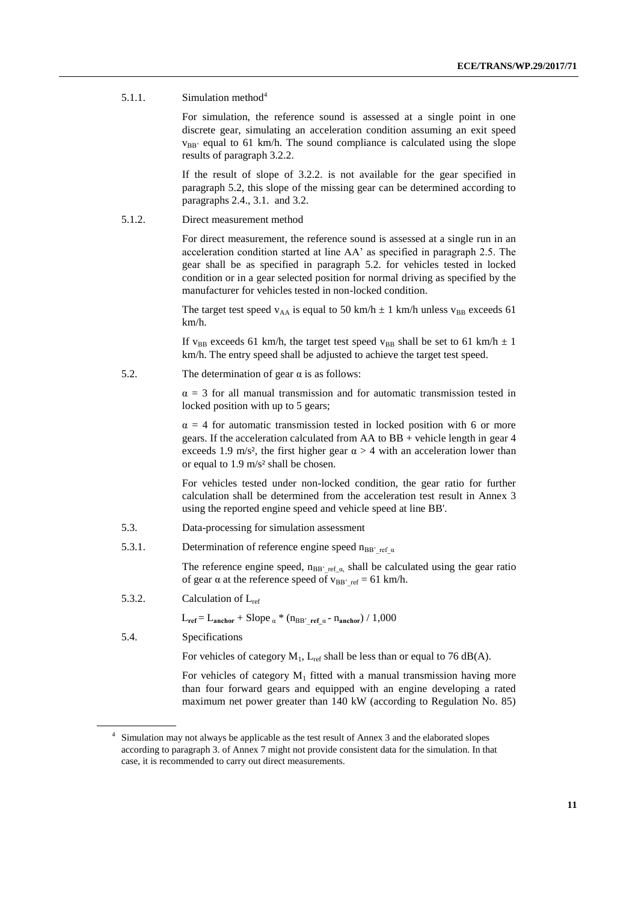#### 5.1.1. Simulation method<sup>4</sup>

For simulation, the reference sound is assessed at a single point in one discrete gear, simulating an acceleration condition assuming an exit speed  $v_{BB}$  equal to 61 km/h. The sound compliance is calculated using the slope results of paragraph 3.2.2.

If the result of slope of 3.2.2. is not available for the gear specified in paragraph 5.2, this slope of the missing gear can be determined according to paragraphs 2.4., 3.1. and 3.2.

#### 5.1.2. Direct measurement method

For direct measurement, the reference sound is assessed at a single run in an acceleration condition started at line AA' as specified in paragraph 2.5. The gear shall be as specified in paragraph 5.2. for vehicles tested in locked condition or in a gear selected position for normal driving as specified by the manufacturer for vehicles tested in non-locked condition.

The target test speed  $v_{AA}$  is equal to 50 km/h  $\pm$  1 km/h unless  $v_{BB}$  exceeds 61 km/h.

If v<sub>BB</sub> exceeds 61 km/h, the target test speed v<sub>BB</sub> shall be set to 61 km/h  $\pm$  1 km/h. The entry speed shall be adjusted to achieve the target test speed.

5.2. The determination of gear  $\alpha$  is as follows:

 $\alpha = 3$  for all manual transmission and for automatic transmission tested in locked position with up to 5 gears;

 $\alpha = 4$  for automatic transmission tested in locked position with 6 or more gears. If the acceleration calculated from  $AA$  to  $BB +$  vehicle length in gear 4 exceeds 1.9 m/s<sup>2</sup>, the first higher gear  $\alpha > 4$  with an acceleration lower than or equal to 1.9 m/s² shall be chosen.

For vehicles tested under non-locked condition, the gear ratio for further calculation shall be determined from the acceleration test result in Annex 3 using the reported engine speed and vehicle speed at line BB'.

- 5.3. Data-processing for simulation assessment
- 5.3.1. Determination of reference engine speed  $n_{BB'}$ <sub>ref  $\alpha$ </sub>

The reference engine speed,  $n_{BB'}_{ref_\text{ref}_\text{at}}$  shall be calculated using the gear ratio of gear  $\alpha$  at the reference speed of  $v_{BB'}$ <sub>ref</sub> = 61 km/h.

5.3.2. Calculation of Lref

 $L_{ref} = L_{anchor} + Slope_{\alpha} * (n_{BB} \cdot_{ref_{\alpha}} - n_{anchor}) / 1,000$ 

5.4. Specifications

For vehicles of category  $M_1$ ,  $L_{ref}$  shall be less than or equal to 76 dB(A).

For vehicles of category  $M_1$  fitted with a manual transmission having more than four forward gears and equipped with an engine developing a rated maximum net power greater than 140 kW (according to Regulation No. 85)

<sup>4</sup> Simulation may not always be applicable as the test result of Annex 3 and the elaborated slopes according to paragraph 3. of Annex 7 might not provide consistent data for the simulation. In that case, it is recommended to carry out direct measurements.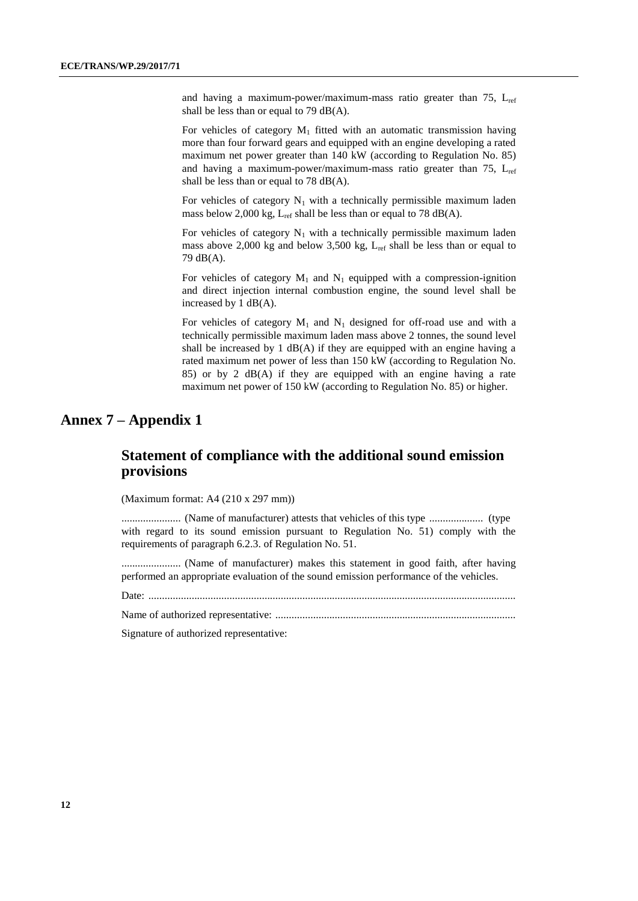and having a maximum-power/maximum-mass ratio greater than 75,  $L_{ref}$ shall be less than or equal to 79 dB(A).

For vehicles of category  $M_1$  fitted with an automatic transmission having more than four forward gears and equipped with an engine developing a rated maximum net power greater than 140 kW (according to Regulation No. 85) and having a maximum-power/maximum-mass ratio greater than 75,  $L_{ref}$ shall be less than or equal to 78 dB(A).

For vehicles of category  $N_1$  with a technically permissible maximum laden mass below 2,000 kg,  $L_{ref}$  shall be less than or equal to 78 dB(A).

For vehicles of category  $N_1$  with a technically permissible maximum laden mass above 2,000 kg and below 3,500 kg,  $L_{ref}$  shall be less than or equal to 79 dB(A).

For vehicles of category  $M_1$  and  $N_1$  equipped with a compression-ignition and direct injection internal combustion engine, the sound level shall be increased by 1 dB(A).

For vehicles of category  $M_1$  and  $N_1$  designed for off-road use and with a technically permissible maximum laden mass above 2 tonnes, the sound level shall be increased by 1  $dB(A)$  if they are equipped with an engine having a rated maximum net power of less than 150 kW (according to Regulation No. 85) or by 2 dB(A) if they are equipped with an engine having a rate maximum net power of 150 kW (according to Regulation No. 85) or higher.

### **Annex 7 – Appendix 1**

### **Statement of compliance with the additional sound emission provisions**

(Maximum format: A4 (210 x 297 mm))

...................... (Name of manufacturer) attests that vehicles of this type .................... (type with regard to its sound emission pursuant to Regulation No. 51) comply with the requirements of paragraph 6.2.3. of Regulation No. 51.

...................... (Name of manufacturer) makes this statement in good faith, after having performed an appropriate evaluation of the sound emission performance of the vehicles.

Date: ........................................................................................................................................

Name of authorized representative: .........................................................................................

Signature of authorized representative: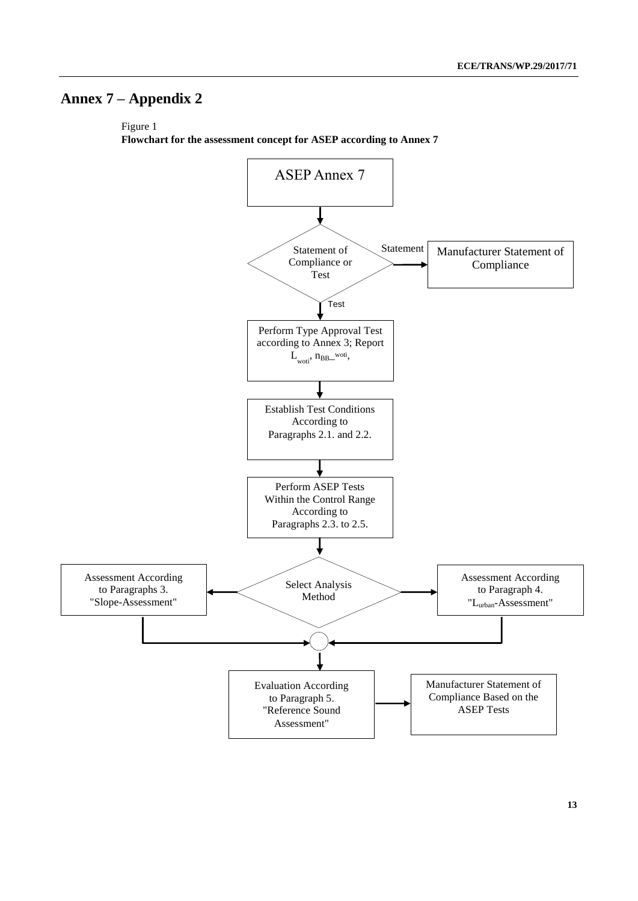# **Annex 7 – Appendix 2**

Figure 1

**Flowchart for the assessment concept for ASEP according to Annex 7** 

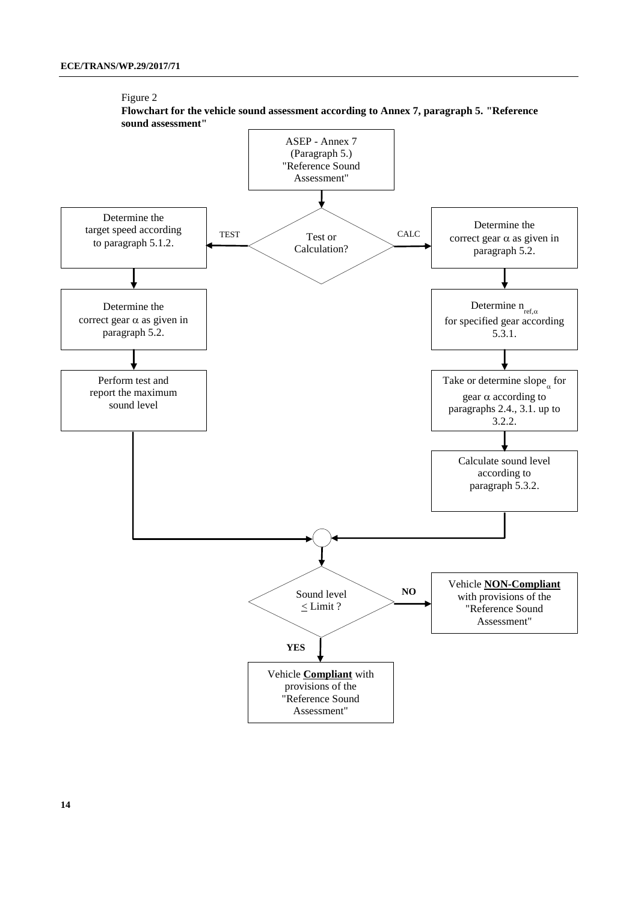